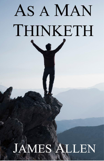# AS A MAN THINKETH

# **JAMES ALLEN**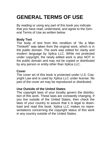# **GENERAL TERMS OF USE**

By reading or using any part of this book you indicate that you have read, understand, and agree to the General Terms of Use as written below.

### **Body Text**

The body of text from this rendition of "As a Man Thinketh" was taken from the original work, which is in the public domain. The work was edited for clarity and modern language by Xplica LLC. While not protected under copyright, the newly edited work is also NOT in the public domain and may not be copied or distributed by any person or entity other than Xplica LLC.

#### **Cover**

The cover art of this book is protected under U.S. Copyright Law and is used by Xplica LLC under license. No part of the cover art may be reproduced or distributed.

#### **Use Outside of the United States**

The copyright laws of your locality govern the distribution of this work. These laws are constantly changing. If you live outside of the United States, then check the laws of your country to assure that it is legal to download and read this book. Xplica LLC makes no representations concerning the copyright status of this work in any country outside of the United States.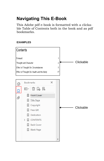# **Navigating This E-Book**

This Adobe pdf e-book is formatted with a clickable Table of Contents both in the book and as pdf bookmarks.

#### **EXAMPLES**

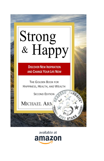# Strong<br>& Happy

**DISCOVER NEW INSPIRATION AND CHANGE YOUR LIFE NOW** 

THE GOLDEN BOOK FOR HAPPINESS, HEALTH, AND WEALTH

**SECOND EDITION** 

**FAVORA** 

STAP

MICHAEL ARN

available at amazon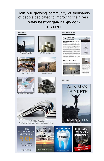## [Join our growing community of thousands](www.bestrongandhappy.com) [of people dedicated to improving their lives](www.bestrongandhappy.com) **www.bestrongandhappy.com IT'[S FREE](www.bestrongandhappy.com)**

#### **FREE CONFNT**



Personal Growth



Fine Food & Drink





Relationships

#### WEEKLY NEWSLETTER



#### Boing Inspired in Life: Part 1





ere isn't one single factor why<br>hijo that are nequired in the



WALLACE D. WATTLES





**Health and Wellness** 

**How to ATTRACT** a Life of WEALTH

W.D. WATTLES



Musings

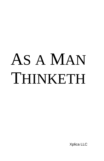# AS A MAN THINKETH

Xplica LLC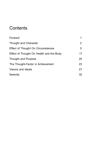# **Contents**

| Forward                                  |    |
|------------------------------------------|----|
| Thought and Character                    | 2  |
| Effect of Thought On Circumstances       | 5  |
| Effect of Thought On Health and the Body | 17 |
| Thought and Purpose                      | 20 |
| The Thought-Factor in Achievement        | 23 |
| Visions and Ideals                       | 27 |
| Serenity                                 | 32 |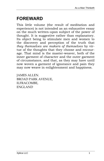# <span id="page-7-0"></span>**FOREWARD**

This little volume (the result of meditation and experience) is not intended as an exhaustive essay on the much written-upon subject of the power of thought. It is suggestive rather than explanatory. Its object being to stimulate men and women to the discovery and perception of the truth that *they themselves are makers of themselves* by virtue of the thoughts that they choose and encourage. That mind is the master-weaver, both of the inner garment of character and the outer garment of circumstance, and that, as they may have until now woven a garment of ignorance and pain they may now weave in enlightenment and happiness.

JAMES ALLEN. BROAD PARK AVENUE, ILFRACOMBE, ENGLAND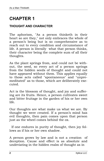# <span id="page-8-0"></span>**CHAPTER 1**

#### **THOUGHT AND CHARACTER**

The aphorism, "As a person thinketh in their heart so are they," not only embraces the whole of a person's being but is so comprehensive as to reach out to every condition and circumstance of life. A person is literally what that person thinks, their character being the complete sum of all their thoughts.

As the plant springs from, and could not be without, the seed, so every act of a person springs from the hidden seeds of thought and could not have appeared without them. This applies equally to those acts called "spontaneous" and "unpremeditated" as to those, which are deliberately executed.

Act is the blossom of thought, and joy and suffering are its fruits. Hence, a person cultivates sweet and bitter fruitage in the garden of his or her own life.

Our thoughts are what make us what we are. By thought we were created. If a person's mind has evil thoughts, then pain comes upon that person just as the wheel comes behind the ox.

 If one endures in purity of thought, then joy follows as if his or her own shadow.

A person grows by law and is not a creation of deception. Cause and effect is as absolute and undeviating in the hidden realm of thought as in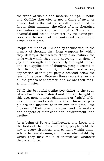the world of visible and material things. A noble and Godlike character is not a thing of favor or chance but is the natural result of continued effort in right thinking, the effect of long-cherished association with Godlike thoughts. Those with shameful and bestial character, by the same process, are the result of the continued harboring of devious thoughts.

People are made or unmade by themselves; in the armory of thought they forge weapons by which they destroys themselves. They also fashion the tools with which they build heavenly mansions of joy and strength and peace. By the right choice and true application of thought, people ascend to the Divine Perfection. By the abuse and wrong application of thought, people descend below the level of the beast. Between these two extremes are all the grades of character, and we are their maker and master.

Of all the beautiful truths pertaining to the soul, which have been restored and brought to light in this age, none is more gladdening or fruitful of divine promise and confidence than this--that people are the masters of their own thoughts, the molders of their own character, and the makers and shapers of their condition, environment, and destiny.

As a being of Power, Intelligence, and Love, and the lords of their own thoughts, people hold the key to every situation, and contain within themselves the transforming and regenerative ability by which they may make of themselves whatever they wish to be.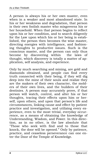A person is always his or her own master, even when in a weaker and most abandoned state. In his or her weakness and degradation, that person is their own foolish master who misgoverns his or her household. When that person begins to reflect upon his or her condition, and to search diligently for the Law upon which his or her being is established, the person then becomes the wise master, directing energies with intelligence, and fashioning thoughts to productive issues. Such is the conscious master, and the person can only thus<br>become by discovering within the laws of become by discovering within thought, which discovery is totally a matter of application, self analysis, and experience.

Only by much searching and mining, are gold and diamonds obtained, and people can find every truth connected with their being, if they will dig deep into the mine of their souls and realize they are the makers of their own character, the molders of their own lives, and the builders of their destinies. A person may accurately prove, if that person will watch, control, and alter his or her thoughts, tracing their effects upon him or herself, upon others, and upon that person's life and circumstances, linking cause and effect by patient practice and investigation, and utilizing every experience, even to the most trivial, everyday occurrence, as a means of obtaining the knowledge of Understanding, Wisdom, and Power. In this direction, as in no other, is the law absolute that "Those who seek with find and to those that knock, the door will be opened." Only by patience, practice, and ceaseless perseverance can one enter the Door of the Temple of Knowledge.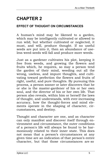# <span id="page-11-0"></span>**CHAPTER 2**

## **EFFECT OF THOUGHT ON CIRCUMSTANCES**

A human's mind may be likened to a garden, which may be intelligently cultivated or allowed to run wild; but whether cultivated or neglected, it must, and will, produce thought. If no useful seeds are put into it, then an abundance of useless weed-seeds will fall and produce more weeds.

Just as a gardener cultivates his plot, keeping it free from weeds, and growing the flowers and fruits which, he requires, so may a person tend the garden of their mind, weeding out all the wrong, useless, and impure thoughts, and cultivating toward perfection the flowers and fruits of right, useful, and pure thoughts. By pursuing this process, a person sooner or later discovers that he or she is the master-gardener of his or her own soul, and the director of his or her own life. That person also reveals, within him or herself the laws of thought, and understands, with ever-increasing accuracy, how the thought-forces and mind elements operate in the shaping of character, circumstances, and destiny.

Thought and character are one, and as character can only manifest and discover itself through environment and circumstance, the outer conditions of a person's life will always be found to be harmoniously related to their inner state. This does not mean that a person's circumstances at any given time are an indication of that person's entire character, but that those circumstances are so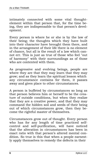intimately connected with some vital thoughtelement within that person that, for the time being, they are indispensable to that person's development.

Every person is where he or she is by the law of their being; the thoughts which they have built into their character have brought them there, and in the arrangement of their life there is no element of chance, but all is the result of a law which cannot err. This is just as true of those who feel "out of harmony" with their surroundings as of those who are contented with them.

As progressive and evolving beings, people are where they are that they may learn that they may grow; and as they learn the spiritual lesson which any circumstance contains for them, it passes away and gives place to other circumstances.

A person is buffeted by circumstances so long as that person believes him or herself to be the creature of outside conditions, but when they realize that they are a creative power, and that they may command the hidden soil and seeds of their being out of which circumstances grow, then they become the rightful master of themselves.

Circumstances grow out of thought. Every person who has for any length of time practiced selfcontrol and self-purification, will have noticed that the alteration in circumstances has been in exact ratio with that person's altered mental condition. So true is this that when a people earnestly apply themselves to remedy the defects in their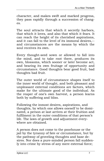character, and makes swift and marked progress, they pass rapidly through a succession of changes.

The soul attracts that which it secretly harbors, that which it loves, and also that which it fears. It can reach the height of its cherished aspirations, and it can fall to the level of its immoral desires,- and circumstances are the means by which the soul receives its own.

Every thought-seed sown or allowed to fall into the mind, and to take root there, produces its own, blossoms, which sooner or later become act, and bearing its own fruitage of opportunity and circumstance. Good thoughts bear good fruit, bad thoughts bad fruit.

The outer world of circumstance shapes itself to the inner world of thought, and both pleasant and unpleasant external conditions are factors, which make for the ultimate good of the individual. As the reaper of one's own harvest, a person learns both by suffering and bliss.

Following the inmost desires, aspirations, and thoughts, by which one allows oneself to be dominated, a person at last arrives at their fruition and fulfilment in the outer conditions of that person's life. The laws of growth and adjustment everywhere are obtained.

A person does not come to the poorhouse or the jail by the tyranny of fate or circumstance, but by the pathway of groveling thoughts and base desires. Nor does a pure-minded person fall suddenly into crime by stress of any mere external force;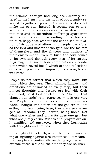the criminal thought had long been secretly fostered in the heart, and the hour of opportunity revealed its gathered power. Circumstance does not make the person. Instead, it reveals one to oneself. No such conditions can exist as descending into vice and its attendant sufferings apart from vicious inclinations or ascending into virtue and its pure happiness without the continued cultivation of virtuous aspirations, and people, therefore, as the lord and master of thought, are the makers of themselves, and the shapers and authors of their environment. Even at birth the soul comes to its own and through every step of its earthly pilgrimage it attracts those combinations of conditions which reveal itself, which are the reflections of its own purity and, impurity, its strength and weakness.

People do not attract that which they want, but that which they are. Their whims, fancies, and ambitions are thwarted at every step, but their inmost thoughts and desires are fed with their own food, be it foul or clean. The "divinity that shapes our ends" is in ourselves  $-$  it is our very self. People chain themselves and hold themselves back. Thought and action are the goalers of Fate ─ they imprison, being base; they are also the angels of Freedom. They liberate, being noble. Not what one wishes and prays for does one get, but what one justly earns. Wishes and prayers are only gratified and answered when they harmonize with thoughts and actions.

In the light of this truth, what, then, is the meaning of "fighting against circumstances?" It means that people are continually revolting against an outside effect, while all the time they are nourish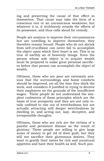ing and preserving the cause of that effect in themselves. That cause may take the form of a conscious vice or an unconscious weakness; but whatever it is, it stubbornly retards the efforts of its possessor, and thus calls aloud for remedy.

People are anxious to improve their circumstances but are unwilling to improve themselves; they therefore remain bound. People who do not shrink from self-crucifixion can never fail to accomplish the object upon which their heart is set. This is as true of earthly as of heavenly things. Even the person whose sole object is to acquire wealth must be prepared to make great personal sacrifices before that person can accomplish the object of wealth.

Ofttimes, those who are poor are extremely anxious that the surroundings and home comforts should be improved, yet all the time they shirk the work, and considers it justified in trying to deceive their employers on the grounds of the insufficient wages. These people do not understand the simplest rudiments of those principles which are the basis of true prosperity and they are not only totally unfitted to rise out of wretchedness but are actually attracting still deeper wretchedness by dwelling in, and acting out, lazy, deceptive, and irresponsible thoughts.

Ofttimes, those who are rich are the victims of a painful and persistent disease as the result of gluttony. These people are willing to give large sums of money to get rid of their guilt, but they will not sacrifice their gluttonous desires. They want to gratify their tastes for rich and unnatural appetites and have their health as well. Such peo-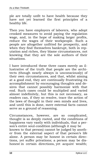ple are totally unfit to have health because they have not yet learned the first principles of a healthy life.

Then you have employers of laborers, who adopt crooked measures to avoid paying the regulation wage, and, in the hope of making larger profits, reduce the wages of their workpeople. Such a people are altogether unfitted for prosperity, and when they find themselves bankrupt, both in reputation and riches, they blame circumstances, not knowing that they are the sole authors of their situations.

I have introduced these three cases merely as illustrative of the truth that people are the architects (though nearly always is unconsciously) of their own circumstances, and that, whilst aiming at a good end, they are continually frustrating its at a good end, and a community sires that cannot possibly harmonize with that end. Such cases could be multiplied and varied almost indefinitely, but this is not necessary, as readers can, if they so resolve, trace the action of the laws of thought in their own minds and lives, and until this is done, mere external facts cannot serve as a ground of reasoning.

Circumstances, however, are so complicated, thought is so deeply rooted, and the conditions of happiness vary vastly with individuals, that a person's entire soul-condition (although it may be known to that person) cannot be judged by another from the external aspect of that person's life alone. A person may be honest in certain directions, yet suffer privations; a person may be dishonest in certain directions, yet acquire wealth;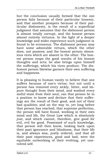but the conclusion usually formed that the one person fails because of their particular honesty, and that another prospers because of their particular dishonesty, is the result of a superficial judgment that assumes that the dishonest person is almost totally corrupt, and the honest person almost entirely virtuous. In the light of a deeper knowledge and wider experience such judgment is found to be erroneous. The dishonest person may have some admirable virtues, which the other does, not possess; and the honest person obnoxious vices which are absent in the other. The honest person reaps the good results of his honest thoughts and acts; he also brings upon himself the sufferings, which his vices produce. The dishonest person likewise garners their own suffering and happiness.

It is pleasing to human vanity to believe that one suffers because of one's virtue; but not until a person has removed every sickly, bitter, and impure thought from their mind, and washed every sinful stain from their soul, can that person be in a position to know and declare that their sufferings are the result of their good, and not of their bad qualities; and on the way to, yet long before that person has reached, that supreme perfection, the person will have found, working in their own mind and life, the Great Law which is absolutely just, and which cannot, therefore, give good for evil, evil for good. Possessed of such knowledge, that person will then know, looking back upon their past ignorance and blindness, that their life is, and always was, justly ordered, and that all their past experiences, good and bad, were the equitable outworking of their evolving, yet unevolved self.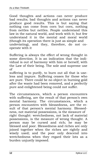Good thoughts and actions can never produce bad results; bad thoughts and actions can never produce good results. This is but saying that nothing can come from corn but corn, nothing from nettles but nettles. People understand this law in the natural world, and work with it; but few understand it in the mental and moral world (though its operation there is just as simple and undeviating), and they, therefore, do not cooperate with it

Suffering is always the effect of wrong thought in some direction. It is an indication that the individual is out of harmony with him or herself, with the Law of their being. The sole and supreme use of

suffering is to purify, to burn out all that is useless and impure. Suffering ceases for those who are pure. There could be no object in burning gold after the waste had been removed, and a perfectly pure and enlightened being could not suffer.

The circumstances, which a person encounters with suffering, are the result of that person's own mental harmony. The circumstances, which a person encounters with blessedness, are the result of that person's mental harmony. Blessedness, not material possessions, is the measure of right thought: wretchedness, not lack of material possessions, is the measure of wrong thought. A person may be cursed and rich; he may be blessed and poor. Blessedness and riches are only joined together when the riches are rightly and wisely used; and the poor only descend into wretchedness when they regard their lots as a burden unjustly imposed.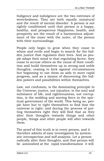Indigence and indulgence are the two extremes of wretchedness. They are both equally unnatural and the result of mental disorder. A person is not rightly conditioned until that person is a happy, healthy, and prosperous Happiness, health, and prosperity are the result of a harmonious adjustment of the inner with the outer, of the person with their surroundings.

People only begin to grow when they cease to whine and revile and begin to search for the hidden justice that regulates their lives. And as people adapt their mind to that regulating factor, they cease to accuse others as the cause of their condition and build themselves up in strong and noble thoughts; ceasing to kick against circumstances but beginning to use them as aids to more rapid progress, and as a means of discovering the hidden powers and possibilities within themselves.

Law, not confusion, is the dominating principle in the Universe; justice, not injustice, is the soul and substance of life; and righteousness, not corruption, is the molding and moving force in the spiritual government of the world. This being so, people have but to right themselves to find that the universe is right; and during the process of putting themselves right they will find that as they alter their thoughts towards things and other people, things and other people will alter towards them.

The proof of this truth is in every person, and it therefore admits of easy investigation by systematic introspection and self-analysis. Let a person radically alter their thoughts, and that person will be astonished at the rapid transformation it will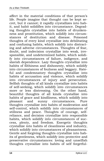affect in the material conditions of that person's life. People imagine that thought can be kept secret, but it cannot; it rapidly crystallizes into habit, and habit solidifies into circumstance. Degrading thoughts crystallize into habits of drunkenness and prostitution, which solidify into circumstances of destitution and disease. Poisoned thoughts of every kind crystallize into debilitating and confusing habits, which solidify into distracting and adverse circumstances. Thoughts of fear, doubt, and indecision crystallize into weak, irresponsible, and undetermined habits, which solidify into circumstances of failure, indigence, and slavish dependence. Lazy thoughts crystallize into habits of filthiness and dishonesty, which solidify into circumstances of foulness and beggary. Hateful and condemnatory thoughts crystallize into habits of accusation and violence, which solidify into circumstances of injury and persecution. Selfish thoughts of all kinds crystallize into habits of self-seeking, which solidify into circumstances more or less distressing. On the other hand, beautiful thoughts of all kinds crystallize into habits of grace and kindliness, which solidify into pleasant and sunny circumstances. Pure thoughts crystallize into habits of moderation and self-control, which solidify into circumstances of stillness and peace. Thoughts of courage, selfreliance, and decision crystallize into responsible habits, which solidify into circumstances of success, plenty, and freedom. Energetic thoughts crystallize into habits of cleanliness and industry, which solidify into circumstances of pleasantness. Gentle and forgiving thoughts crystallize into habits of gentleness, which solidify into protective and preservative circumstances: loving and unselfish thoughts crystallize into habits of self forgetful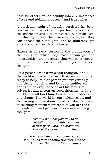ness for others, which solidify into circumstances of sure and abiding prosperity and true riches.

A particular train of thought persisted in, be it good or bad, cannot fail to produce its results on the character and circumstances. A person cannot directly choose their circumstances, but they can choose their thoughts, and so indirectly, yet surely, shape their circumstances.

Nature helps every person to the gratification of the thoughts, which they most encourage, and opportunities are presented that will most speedily bring to the surface both the good and evil thoughts.

Let a person cease from sinful thoughts, and all the world will soften towards that person, and be ready to help; let that person put away weakly and sickly thoughts, and lo, opportunities will spring up on every hand to aid his strong resolves; let him encourage good thoughts, and no hard fate shall bind him down to wretchedness and shame. The world is your kaleidoscope, and the varying combinations of colors, which at every succeeding moment it presents to you are the exquisitely adjusted pictures of your ever-moving thoughts.

> *You will be what you will to be. Let failure find its false content In that poor word, 'environment But spirit scorns it and is free.*

*It masters time, it conquers space. It subdues that boastful trickster, Chance, And bids the tyrant Circumstance*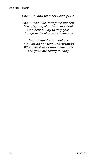*Uncrown, and fill a servant's place.*

*The human Will, that force unseen, The offspring of a deathless Soul, Can hew a way to any goal, Though walls of granite intervene.*

*Be not impatient in delays But wait as one who understands. When spirit rises and commands The gods are ready to obey.*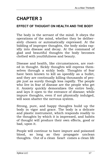# <span id="page-23-0"></span>**CHAPTER 3**

## **EFFECT OF THOUGHT ON HEALTH AND THE BODY**

The body is the servant of the mind. It obeys the operations of the mind, whether they be deliberately chosen or automatically expressed. At the bidding of improper thoughts, the body sinks rapidly into disease and decay. At the command of glad and beautiful thoughts the body becomes clothed with youthfulness and beauty.

Disease and health, like circumstances, are rooted in thought. Sickly thoughts will express themselves through a sickly body. Thoughts of fear have been known to kill as speedily as a bullet, and they are continually killing thousands of people just as surely though less rapidly. The people who live in fear of disease are the people who get it. Anxiety quickly demoralizes the entire body, and lays it open to the entrance of disease; while impure thoughts, even if not physically indulged, will soon shatter the nervous system.

Strong, pure, and happy thoughts build up the body in vigor and grace. The body is a delicate and plastic instrument, which responds readily to the thoughts by which it is impressed, and habits of thought will produce their own effects, good or bad, upon it.

People will continue to have impure and poisoned blood, so long as they propagate unclean thoughts. Out of a clean heart comes a clean life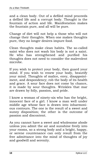and a clean body. Out of a defiled mind proceeds a defiled life and a corrupt body. Thought is the fountain of action and life. Manifestation makes the fountain pure, and all will be pure.

Change of diet will not help a those who will not change their thoughts. When one makes thoughts pure, they no longer desires impure food.

Clean thoughts make clean habits. The so-called saint who does not wash his body is not a saint. He who has strengthened and purified his thoughts does not need to consider the malevolent microbe.

If you wish to protect your body, then guard your mind. If you wish to renew your body, beautify your mind. Thoughts of malice, envy, disappointment, and despondency; rob the body of its health and grace. A sour face does not come by chance, it is made by sour thoughts. Wrinkles that mar are drawn by folly, passion, and pride.

I know a woman of ninety-six who has the bright, innocent face of a girl. I know a man well under middle age whose face is drawn into inharmonious contours. The one is the result of a sweet and sunny disposition; the other is the outcome of passion and discontent.

As you cannot have a sweet and wholesome abode unless you admit the air and sunshine freely into your rooms, so a strong body and a bright, happy, or serene countenance can only result from the free admittance into the mind of thoughts of joy and goodwill and serenity.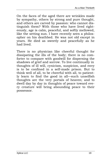On the faces of the aged there are wrinkles made by sympathy, others by strong and pure thought, and others are carved by passion: who cannot distinguish them? With those who have lived righteously, age is calm, peaceful, and softly mellowed, like the setting sun. I have recently seen a philosopher on his deathbed. He was not old except in years. He died as sweetly and peacefully as he had lived.

There is no physician like cheerful thought for dissipating the ills of the body; there is no comforter to compare with goodwill for dispersing the shadows of grief and sorrow. To live continually in thoughts of ill will, cynicism, suspicion, and envy is to be confined in a self-made prison. But to think well of all, to be cheerful with all, to patiently learn to find the good in all—such unselfish thoughts are the very portals of heaven; and to dwell day by day in thoughts of peace toward every creature will bring abounding peace to their possessor.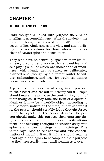# <span id="page-26-0"></span>**CHAPTER 4**

#### **THOUGHT AND PURPOSE**

Until thought is linked with purpose there is no intelligent accomplishment. With the majority the bark of thought is allowed to "drift" upon the ocean of life. Aimlessness is a vice, and such drifting must not continue for those who would steer clear of catastrophe and destruction.

They who have no central purpose in their life fall an easy prey to petty worries, fears, troubles, and self-pitying's, all of which are indications of weakness, which lead, just as surely as deliberately planned sins (though by a different route), to failure, unhappiness, and loss, for weakness cannot persist in a power evolving universe.

A person should conceive of a legitimate purpose in their heart and set out to accomplish it. People should make this purpose the centralizing point of their thoughts. It may take the form of a spiritual ideal, or it may be a worldly object, according to the person's nature at the time, but whichever it is, the person should steadily focus thought forces upon the object that the person desires. The person should make this purpose their supreme duty, and should devote him or herself to its attainment, not allowing thoughts to wander away into ephemeral fancies, longings, and imaginings. This is the royal road to self-control and true concentration of thought. Even if failure should rear its head again and again to accomplish their purpose (as they necessarily must until weakness is over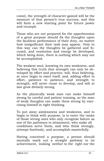come), the strength of character gained will be the measure of that person's true success, and this will form a new starting point for future power and triumph.

Those who are not prepared for the apprehension of a great purpose should fix the thoughts upon the faultless performance of their duty, no matter how insignificant their task may appear. Only in this way can the thoughts be gathered and focused, and resolution and energy be developed, which being done, there is nothing which may not be accomplished.

The weakest soul, knowing its own weakness, and believing this truth that strength can only be developed by effort and practice, will, thus believing, at once begin to exert itself, and, adding effort to effort, patience to patience, and strength to strength, will never cease to develop, and will at last grow divinely strong.

As the physically weak man can make himself strong by careful and patient training, so the man of weak thoughts can make them strong by exercising himself in right thinking.

To put away aimlessness and weakness, and to begin to think with purpose, is to enter the ranks of those strong ones who only recognize failure as one of the pathways to attainment, who make all conditions serve them, and who think strongly, attempt fearlessly, and accomplish masterfully.

Having conceived a purpose, a person should mentally mark out a straight pathway to its achievement, looking neither to the right nor the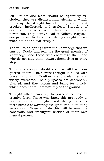left. Doubts and fears should be rigorously excluded; they are disintegrating elements, which break up the straight line of effort, rendering it crooked, ineffectual, and useless. Thoughts of doubt and fear never accomplished anything, and never can. They always lead to failure. Purpose, energy, power to do, and all strong thoughts cease when doubt and fear creep in.

The will to do springs from the knowledge that we can do. Doubt and fear are the great enemies of knowledge, and those who encourage them and who do not slay them, thwart themselves at every step.

Those who conquer doubt and fear will have conquered failure. Their every thought is allied with power, and all difficulties are bravely met and wisely overcome. Their purposes are seasonably planted, and they bloom and bring forth fruit, which does not fall prematurely to the ground.

Thought allied fearlessly to purpose becomes a creative force. Those who know this are ready to become something higher and stronger than a mere bundle of wavering thoughts and fluctuating sensations. Those who do this will become the conscious and intelligent wielder of their own mental powers.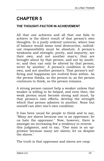# <span id="page-29-0"></span>**CHAPTER 5**

### **THE THOUGHT-FACTOR IN ACHIEVEMENT**

All that one achieves and all that one fails to achieve is the direct result of that person's own thoughts. In a justly ordered universe, where loss of balance would mean total destruction, individual responsibility must be absolute. A person's weakness and strength, purity, and impurity, are their own, and not another man's; they are brought about by that person, and not by another; and they can only be altered by that person, never by another. A person's condition is their own, and not another person's. That person's suffering and happiness are evolved from within. As the person thinks, so the person is; as the person continues to think, so the person remains.

A strong person cannot help a weaker unless that weaker is willing to be helped, and even then, the weak person must become strong and must, by that person's own efforts, develop the strength which that person admires in another. None but oneself can alter one's own condition.

It has been usual for people to think and to say, "Many are slaves because one is an oppressor; let us hate the oppressor." Now, however, there is amongst an increasing few a tendency to reverse this judgment, and to say, "One man is an oppressor because many are slaves; let us despise the slaves."

The truth is that oppressor and slaves are coop-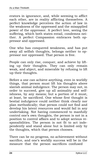erators in ignorance, and, while seeming to afflict each other, are in reality afflicting themselves. A perfect knowledge perceives the action of law in the weakness of the oppressed and the misapplied power of the oppressor. A perfect love, seeing the suffering, which both states entail, condemns neither. A perfect Compassion embraces both oppressor and oppressed.

One who has conquered weakness, and has put away all selfish thoughts, belongs neither to oppressor nor oppressed. That person is free.

People can only rise, conquer, and achieve by lifting up their thoughts. They can only remain weak, and abject, and miserable by refusing to lift up their thoughts.

Before a one can achieve anything, even in worldly things, that person must lift his thoughts above slavish animal indulgence. The person may not, in order to succeed, give up all animality and selfishness, by any means; but a portion of it must, at least, be sacrificed. One whose first thought is bestial indulgence could neither think clearly nor plan methodically; that person could not find and develop his latent resources and would fail in any undertaking. Not having commenced to manfully control one's own thoughts, the person is not in a position to control affairs and to adopt serious responsibilities. The person is not fit to act independently and stand alone but is limited only by the thoughts, which that person chooses.

There can be no progress, no achievement without sacrifice, and one's worldly success will be in the measure that the person sacrifices confused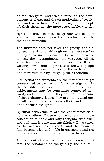animal thoughts, and fixes a mind on the development of plans, and the strengthening of resolution and self-reliance. And the higher the people lift their thoughts, the more responsible, upright, and

righteous they become, the greater will be their success, the more blessed and enduring will be their achievements.

The universe does not favor the greedy, the dishonest, the vicious, although on the mere surface it may sometimes appear to do so; it helps the honest, the magnanimous, the virtuous. All the great teachers of the ages have declared this in varying forms, and to prove and know it people have but to persist in making themselves more and more virtuous by lifting up their thoughts.

Intellectual achievements are the result of thought consecrated to the search for knowledge, or for the beautiful and true in life and nature. Such achievements may be sometimes connected with vanity and ambition, but they are not the outcome of those characteristics; they are the natural outgrowth of long and arduous effort, and of pure and unselfish thoughts.

Spiritual achievements are the consummation of holy aspirations. Those who live constantly in the conception of noble and lofty thoughts, who dwell upon all that is pure and unselfish, will, as surely as the sun reaches its zenith and the moon its full, become wise and noble in character, and rise into a position of influence and blessedness.

Achievement, of whatever kind, is the crown of effort, the ornament of thought. By the aid of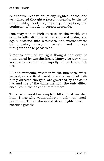self-control, resolution, purity, righteousness, and well-directed thought a person ascends, by the aid of animality, indolence, impurity, corruption, and confusion of thought a person descends.

One may rise to high success in the world, and even to lofty altitudes in the spiritual realm, and again descend into weakness and wretchedness by allowing arrogant, selfish, and corrupt thoughts to take possession.

Victories attained by right thought can only be maintained by watchfulness. Many give way when success is assured, and rapidly fall back into failure.

All achievements, whether in the business, intellectual, or spiritual world, are the result of definitely directed thought, are governed by the same law and are of the same method; the only difference lies in the object of attainment.

Those who would accomplish little must sacrifice little. Those who would achieve much must sacrifice much. Those who would attain highly must sacrifice greatly.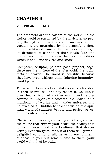# <span id="page-33-0"></span>**CHAPTER 6**

## **VISIONS AND IDEALS**

The dreamers are the saviors of the world. As the visible world is sustained by the invisible, so people, through all their trials and sins and sordid vocations, are nourished by the beautiful visions of their solitary dreamers. Humanity cannot forget its dreamers; it cannot let their ideals fade and die; it lives in them; it knows them as the realities which it shall one day see and know.

Composer, sculptor, painter, poet, prophet, sage, these are the makers of the afterworld, the architects of heaven. The world is beautiful because they have lived. without them, laboring humanity would perish.

Those who cherish a beautiful vision, a lofty ideal in their hearts, will one day realize it. Columbus cherished a vision of another world, and he discovered it. Copernicus fostered the vision of a multiplicity of worlds and a wider universe, and he revealed it. Buddha beheld the vision of a spiritual world of stainless beauty and perfect peace, and he entered into it.

Cherish your visions; cherish your ideals; cherish the music that stirs in your heart, the beauty that forms in your mind, the loveliness that drapes your purest thoughts, for out of them will grow all delightful conditions, all, heavenly environment; of these, if you but remain true to them, your world will at last be built.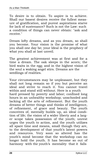To desire is to obtain. To aspire is to achieve. Shall our basest desires receive the fullest measure of gratification, and purest aspirations starve for lack of sustenance? Such is not the Law: such a condition of things can never obtain: "ask and receive."

Dream lofty dreams, and as you dream, so shall you become. Your vision is the promise of what you shall one day be; your Ideal is the prophecy of what you shall at last unveil.

The greatest achievement was at first and for a time a dream. The oak sleeps in the acorn; the bird waits in the egg; and in the highest vision of the soul a waking angel stirs. Dreams are the seedlings of realities.

Your circumstances may be unpleasant, but they shall not long remain so if you but perceive an ideal and strive to reach it. You cannot travel within and stand still without. Here is a youth hard pressed by poverty and labor; confined long hours in an unhealthy workshop; unschooled and lacking all the arts of refinement. But the youth dreams of better things and thinks of intelligence, of refinement, of grace and beauty. The youth conceives of, mentally builds up, an ideal condition of life; the vision of a wider liberty and a larger scope takes possession of the youth; unrest urges the youth to action, and the youth utilizes all spare time and means, small though they are, to the development of that youth's latent powers and resources. Very soon so altered has the youth's mind become that the workshop can no longer hold the youth. It has become so out of harmony with the youth's mentality that it falls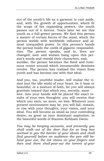out of the youth's life as a garment is cast aside, and, with the growth of opportunities, which fit the scope of his expanding powers, the youth passes out of it forever. Years later we see this youth as a full-grown person. We find this person a master of certain forces of the mind, which the person wields with worldwide influence and almost unequalled power. In this person's hands the person holds the cords of gigantic responsibilities. The person speaks, and lo, lives are changed; men and women hang upon this person's words and remold their characters, and, sunlike, the person becomes the fixed and luminous center around which innumerable destinies revolve. The person has realized the vision from youth and has become one with that ideal.

And you, too, youthful reader, will realize the vision (not the idle wish) of your heart, be it base or beautiful, or a mixture of both, for you will always gravitate toward that which you, secretly, most love. Into your hands will be placed the exact results of your own thoughts; you will receive that which you earn; no more, no less. Whatever your present environment may be, you will fall, remain, or rise with your thoughts, your vision, and your ideal. You will become as small as your controlling desire; as great as your dominant aspiration: in the beautiful words of Stanton Kirkham Davis:

*You may be keeping accounts, and presently you shall walk out of the door that for so long has seemed to you the barrier of your ideals and shall find yourself before an audience--the pen still behind your ear, the ink stains on your fingers and then and there shall pour out the torrent of your*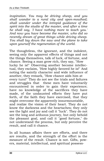*inspiration. You may be driving sheep, and you shall wander to a rural city and open-mouthed; shall wander under the intrepid guidance of the spirit into the studio of the master, and after a time he shall say, 'I have nothing more to teach you.' And now you have become the master, who did so recently dream of great things while driving sheep. You shall lay down the saw and the plane to take upon yourself the regeneration of the world.*

The thoughtless, the ignorant, and the indolent, seeing only the apparent effects of things and not the things themselves, talk of luck, of fortune, and chance. Seeing a man grow rich, they say, "How lucky he is!" Observing another become intellectual, they exclaim, "How highly favored he is!" And noting the saintly character and wide influence of another, they remark, "How chance aids him at every turn!" They do not see the trials and failures and struggles that these men have voluntarily encountered in order to gain their experience; have no knowledge of the sacrifices they have made, of the undaunted efforts they have put forth, of the faith they have exercised, that they might overcome the apparently insurmountable, and realize the vision of their heart. They do not know the darkness and the heartaches; they only see the light and joy and call it "luck". They do not see the long and arduous journey, but only behold the pleasant goal, and call it "good fortune," do not understand the process, but only perceive the result, and call it chance.

In all human affairs there are efforts, and there are results, and the strength of the effort is the measure of the result. Chance is not. Gifts, powers, material, intellectual, and spiritual possess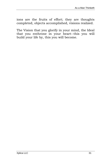ions are the fruits of effort; they are thoughts completed, objects accomplished, visions realized.

The Vision that you glorify in your mind, the Ideal that you enthrone in your heart--this you will build your life by, this you will become.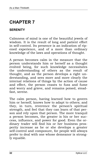# <span id="page-38-0"></span>**CHAPTER 7**

#### **SERENITY**

Calmness of mind is one of the beautiful jewels of wisdom. It is the result of long and patient effort in self-control. Its presence is an indication of ripened experience, and of a more than ordinary knowledge of the laws and operations of thought.

A person becomes calm in the measure that the person understands him or herself as a thought evolved being, for such knowledge necessitates the understanding of others as the result of thought, and as the person develops a right understanding, and sees more and more clearly the internal relations of things by the action of cause and effect, the person ceases to fuss and fume and worry and grieve, and remains poised, steadfast, serene.

The calm person, having learned how to govern him or herself, knows how to adapt to others; and they, in turn, reverence the person's spiritual strength, and feel that they can learn of that person and rely upon that person. The more tranquil a person becomes, the greater is his or her success, influence, and power for good. Even the ordinary trader will find his or her business prosperity increase as he or she develops a greater self-control and composure, for people will always prefer to deal with one whose demeanor is strongly equable.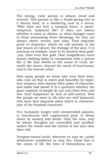The strong, calm person is always loved and revered. This person is like a shade-giving tree in a thirsty land, or a sheltering rock in a storm. "Who does not love a tranquil heart, a sweettempered, balanced life? It does not matter whether it rains or shines, or what changes come to those possessing these blessings, for they are always sweet, serene, and calm. That exquisite poise of character, which we call serenity is the last lesson of culture, the fruitage of the soul. It is precious as wisdom, more to be desired than gold- -yea, than even fine gold. How insignificant mere money seeking looks in comparison with a serene life--a life that dwells in the ocean of truth, beneath the waves, beyond the reach of hurricanes, and in the eternal calm!

How many people we know who sour their lives, who ruin all that is sweet and beautiful by explosive tempers, who destroy their poise of character, and make bad blood! It is a question whether the great majority of people do not ruin their lives and mar their happiness by lack of self-control. How few people we meet in life who are well balanced, who have that exquisite poise which is characteristic of the finished character!

Yes, humanity surges with uncontrolled passion, is tumultuous with ungoverned grief, is blown about by anxiety and doubt. Only the wise, only he whose thoughts are controlled and purified, makes the winds and the storms of the soul obey their will.

Tempest-tossed souls, wherever ye may be, under whatsoever conditions ye may live, know this in the ocean of life the isles of blessedness are